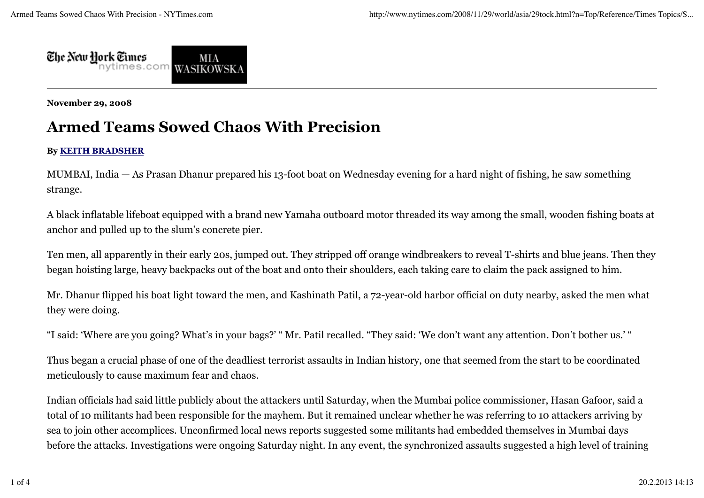

**November 29, 2008**

## **Armed Teams Sowed Chaos With Precision**

## **By KEITH BRADSHER**

MUMBAI, India — As Prasan Dhanur prepared his 13-foot boat on Wednesday evening for a hard night of fishing, he saw something strange.

A black inflatable lifeboat equipped with a brand new Yamaha outboard motor threaded its way among the small, wooden fishing boats at anchor and pulled up to the slum's concrete pier.

Ten men, all apparently in their early 20s, jumped out. They stripped off orange windbreakers to reveal T-shirts and blue jeans. Then they began hoisting large, heavy backpacks out of the boat and onto their shoulders, each taking care to claim the pack assigned to him.

Mr. Dhanur flipped his boat light toward the men, and Kashinath Patil, a 72-year-old harbor official on duty nearby, asked the men what they were doing.

"I said: 'Where are you going? What's in your bags?' " Mr. Patil recalled. "They said: 'We don't want any attention. Don't bother us.' "

Thus began a crucial phase of one of the deadliest terrorist assaults in Indian history, one that seemed from the start to be coordinated meticulously to cause maximum fear and chaos.

Indian officials had said little publicly about the attackers until Saturday, when the Mumbai police commissioner, Hasan Gafoor, said a total of 10 militants had been responsible for the mayhem. But it remained unclear whether he was referring to 10 attackers arriving by sea to join other accomplices. Unconfirmed local news reports suggested some militants had embedded themselves in Mumbai days before the attacks. Investigations were ongoing Saturday night. In any event, the synchronized assaults suggested a high level of training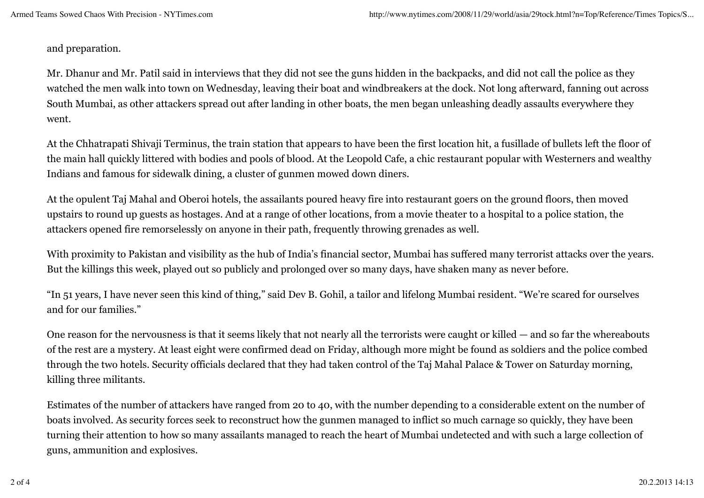and preparation.

Mr. Dhanur and Mr. Patil said in interviews that they did not see the guns hidden in the backpacks, and did not call the police as they watched the men walk into town on Wednesday, leaving their boat and windbreakers at the dock. Not long afterward, fanning out across South Mumbai, as other attackers spread out after landing in other boats, the men began unleashing deadly assaults everywhere they went.

At the Chhatrapati Shivaji Terminus, the train station that appears to have been the first location hit, a fusillade of bullets left the floor of the main hall quickly littered with bodies and pools of blood. At the Leopold Cafe, a chic restaurant popular with Westerners and wealthy Indians and famous for sidewalk dining, a cluster of gunmen mowed down diners.

At the opulent Taj Mahal and Oberoi hotels, the assailants poured heavy fire into restaurant goers on the ground floors, then moved upstairs to round up guests as hostages. And at a range of other locations, from a movie theater to a hospital to a police station, the attackers opened fire remorselessly on anyone in their path, frequently throwing grenades as well.

With proximity to Pakistan and visibility as the hub of India's financial sector, Mumbai has suffered many terrorist attacks over the years. But the killings this week, played out so publicly and prolonged over so many days, have shaken many as never before.

"In 51 years, I have never seen this kind of thing," said Dev B. Gohil, a tailor and lifelong Mumbai resident. "We're scared for ourselves and for our families."

One reason for the nervousness is that it seems likely that not nearly all the terrorists were caught or killed — and so far the whereabouts of the rest are a mystery. At least eight were confirmed dead on Friday, although more might be found as soldiers and the police combed through the two hotels. Security officials declared that they had taken control of the Taj Mahal Palace & Tower on Saturday morning, killing three militants.

Estimates of the number of attackers have ranged from 20 to 40, with the number depending to a considerable extent on the number of boats involved. As security forces seek to reconstruct how the gunmen managed to inflict so much carnage so quickly, they have been turning their attention to how so many assailants managed to reach the heart of Mumbai undetected and with such a large collection of guns, ammunition and explosives.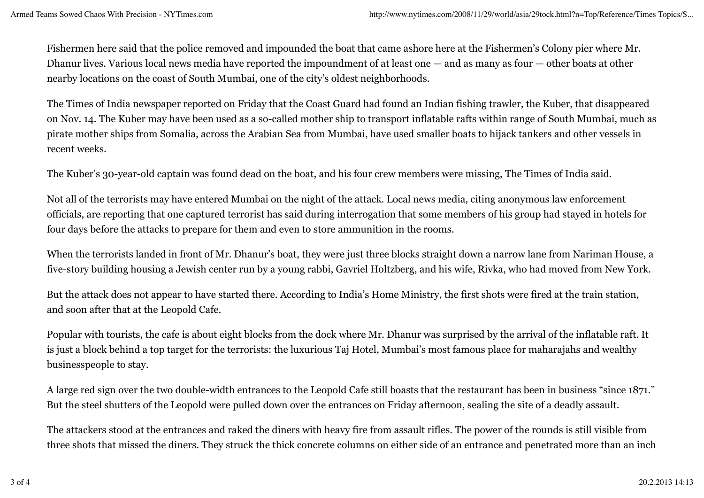Fishermen here said that the police removed and impounded the boat that came ashore here at the Fishermen's Colony pier where Mr. Dhanur lives. Various local news media have reported the impoundment of at least one — and as many as four — other boats at other nearby locations on the coast of South Mumbai, one of the city's oldest neighborhoods.

The Times of India newspaper reported on Friday that the Coast Guard had found an Indian fishing trawler, the Kuber, that disappeared on Nov. 14. The Kuber may have been used as a so-called mother ship to transport inflatable rafts within range of South Mumbai, much as pirate mother ships from Somalia, across the Arabian Sea from Mumbai, have used smaller boats to hijack tankers and other vessels in recent weeks.

The Kuber's 30-year-old captain was found dead on the boat, and his four crew members were missing, The Times of India said.

Not all of the terrorists may have entered Mumbai on the night of the attack. Local news media, citing anonymous law enforcement officials, are reporting that one captured terrorist has said during interrogation that some members of his group had stayed in hotels for four days before the attacks to prepare for them and even to store ammunition in the rooms.

When the terrorists landed in front of Mr. Dhanur's boat, they were just three blocks straight down a narrow lane from Nariman House, a five-story building housing a Jewish center run by a young rabbi, Gavriel Holtzberg, and his wife, Rivka, who had moved from New York.

But the attack does not appear to have started there. According to India's Home Ministry, the first shots were fired at the train station, and soon after that at the Leopold Cafe.

Popular with tourists, the cafe is about eight blocks from the dock where Mr. Dhanur was surprised by the arrival of the inflatable raft. It is just a block behind a top target for the terrorists: the luxurious Taj Hotel, Mumbai's most famous place for maharajahs and wealthy businesspeople to stay.

A large red sign over the two double-width entrances to the Leopold Cafe still boasts that the restaurant has been in business "since 1871." But the steel shutters of the Leopold were pulled down over the entrances on Friday afternoon, sealing the site of a deadly assault.

The attackers stood at the entrances and raked the diners with heavy fire from assault rifles. The power of the rounds is still visible from three shots that missed the diners. They struck the thick concrete columns on either side of an entrance and penetrated more than an inch